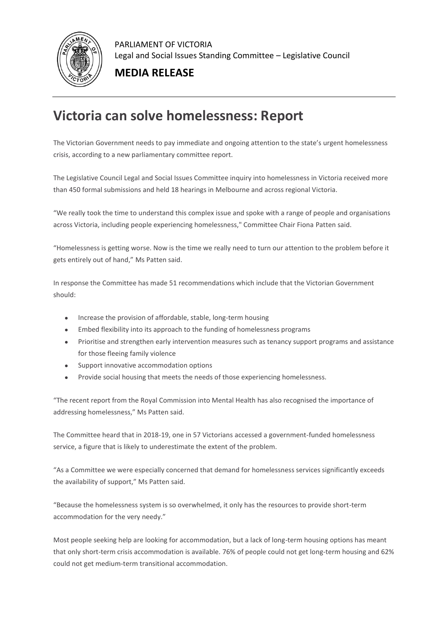

PARLIAMENT OF VICTORIA Legal and Social Issues Standing Committee – Legislative Council

## **MEDIA RELEASE**

## **Victoria can solve homelessness: Report**

The Victorian Government needs to pay immediate and ongoing attention to the state's urgent homelessness crisis, according to a new parliamentary committee report.

The Legislative Council Legal and Social Issues Committee inquiry into homelessness in Victoria received more than 450 formal submissions and held 18 hearings in Melbourne and across regional Victoria.

"We really took the time to understand this complex issue and spoke with a range of people and organisations across Victoria, including people experiencing homelessness," Committee Chair Fiona Patten said.

"Homelessness is getting worse. Now is the time we really need to turn our attention to the problem before it gets entirely out of hand," Ms Patten said.

In response the Committee has made 51 recommendations which include that the Victorian Government should:

- Increase the provision of affordable, stable, long-term housing
- Embed flexibility into its approach to the funding of homelessness programs
- Prioritise and strengthen early intervention measures such as tenancy support programs and assistance for those fleeing family violence
- Support innovative accommodation options
- Provide social housing that meets the needs of those experiencing homelessness.

"The recent report from the Royal Commission into Mental Health has also recognised the importance of addressing homelessness," Ms Patten said.

The Committee heard that in 2018-19, one in 57 Victorians accessed a government-funded homelessness service, a figure that is likely to underestimate the extent of the problem.

"As a Committee we were especially concerned that demand for homelessness services significantly exceeds the availability of support," Ms Patten said.

"Because the homelessness system is so overwhelmed, it only has the resources to provide short-term accommodation for the very needy."

Most people seeking help are looking for accommodation, but a lack of long-term housing options has meant that only short-term crisis accommodation is available. 76% of people could not get long-term housing and 62% could not get medium-term transitional accommodation.